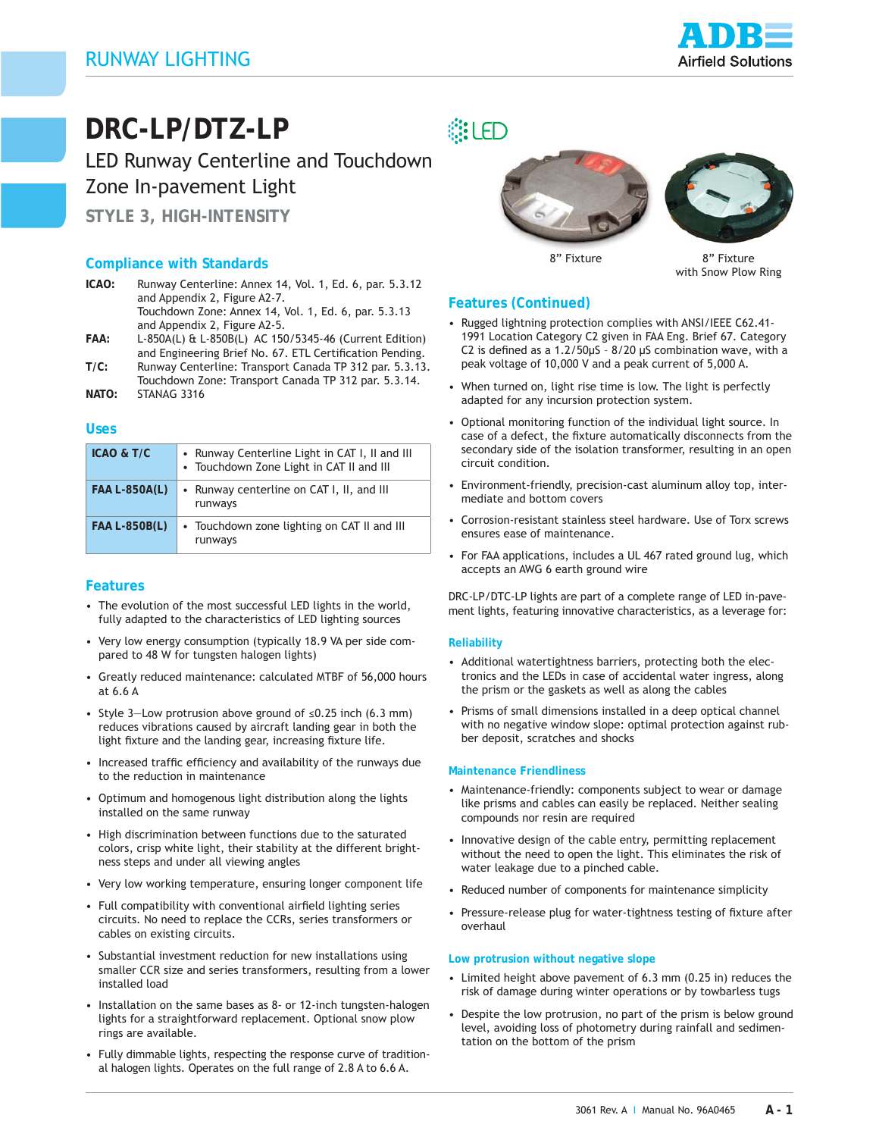

# **DRC-LP/DTZ-LP**

LED Runway Centerline and Touchdown Zone In-pavement Light

**STYLE 3, HIGH-INTENSITY**

# **Compliance with Standards**

| ICAO:   | Runway Centerline: Annex 14, Vol. 1, Ed. 6, par. 5.3.12  |
|---------|----------------------------------------------------------|
|         | and Appendix 2, Figure A2-7.                             |
|         | Touchdown Zone: Annex 14, Vol. 1, Ed. 6, par. 5.3.13     |
|         | and Appendix 2, Figure A2-5.                             |
| FAA:    | L-850A(L) & L-850B(L) AC 150/5345-46 (Current Edition)   |
|         | and Engineering Brief No. 67. ETL Certification Pending. |
| $T/C$ : | Runway Centerline: Transport Canada TP 312 par. 5.3.13.  |
|         | Touchdown Zone: Transport Canada TP 312 par. 5.3.14.     |

**NATO:** STANAG 3316

### **Uses**

| ICAO & T/C           | • Runway Centerline Light in CAT I, II and III<br>• Touchdown Zone Light in CAT II and III |
|----------------------|--------------------------------------------------------------------------------------------|
| <b>FAA L-850A(L)</b> | • Runway centerline on CAT I, II, and III<br>runways                                       |
| <b>FAA L-850B(L)</b> | • Touchdown zone lighting on CAT II and III<br>runways                                     |

### **Features**

- The evolution of the most successful LED lights in the world, fully adapted to the characteristics of LED lighting sources
- Very low energy consumption (typically 18.9 VA per side compared to 48 W for tungsten halogen lights)
- Greatly reduced maintenance: calculated MTBF of 56,000 hours at 6.6 A
- Style 3—Low protrusion above ground of ≤0.25 inch (6.3 mm) reduces vibrations caused by aircraft landing gear in both the light fixture and the landing gear, increasing fixture life.
- Increased traffic efficiency and availability of the runways due to the reduction in maintenance
- Optimum and homogenous light distribution along the lights installed on the same runway
- High discrimination between functions due to the saturated colors, crisp white light, their stability at the different brightness steps and under all viewing angles
- Very low working temperature, ensuring longer component life
- Full compatibility with conventional airfield lighting series circuits. No need to replace the CCRs, series transformers or cables on existing circuits.
- Substantial investment reduction for new installations using smaller CCR size and series transformers, resulting from a lower installed load
- Installation on the same bases as 8- or 12-inch tungsten-halogen lights for a straightforward replacement. Optional snow plow rings are available.
- Fully dimmable lights, respecting the response curve of traditional halogen lights. Operates on the full range of 2.8 A to 6.6 A.

# *SHLED*





8" Fixture 8" Fixture with Snow Plow Ring

### **Features (Continued)**

- Rugged lightning protection complies with ANSI/IEEE C62.41- 1991 Location Category C2 given in FAA Eng. Brief 67. Category C2 is defined as a  $1.2/50 \mu$ S -  $8/20 \mu$ S combination wave, with a peak voltage of 10,000 V and a peak current of 5,000 A.
- When turned on, light rise time is low. The light is perfectly adapted for any incursion protection system.
- Optional monitoring function of the individual light source. In case of a defect, the fixture automatically disconnects from the secondary side of the isolation transformer, resulting in an open circuit condition.
- Environment-friendly, precision-cast aluminum alloy top, intermediate and bottom covers
- Corrosion-resistant stainless steel hardware. Use of Torx screws ensures ease of maintenance.
- For FAA applications, includes a UL 467 rated ground lug, which accepts an AWG 6 earth ground wire

DRC-LP/DTC-LP lights are part of a complete range of LED in-pavement lights, featuring innovative characteristics, as a leverage for:

#### **Reliability**

- Additional watertightness barriers, protecting both the electronics and the LEDs in case of accidental water ingress, along the prism or the gaskets as well as along the cables
- Prisms of small dimensions installed in a deep optical channel with no negative window slope: optimal protection against rubber deposit, scratches and shocks

#### **Maintenance Friendliness**

- Maintenance-friendly: components subject to wear or damage like prisms and cables can easily be replaced. Neither sealing compounds nor resin are required
- Innovative design of the cable entry, permitting replacement without the need to open the light. This eliminates the risk of water leakage due to a pinched cable.
- Reduced number of components for maintenance simplicity
- Pressure-release plug for water-tightness testing of fixture after overhaul

#### **Low protrusion without negative slope**

- Limited height above pavement of 6.3 mm (0.25 in) reduces the risk of damage during winter operations or by towbarless tugs
- Despite the low protrusion, no part of the prism is below ground level, avoiding loss of photometry during rainfall and sedimentation on the bottom of the prism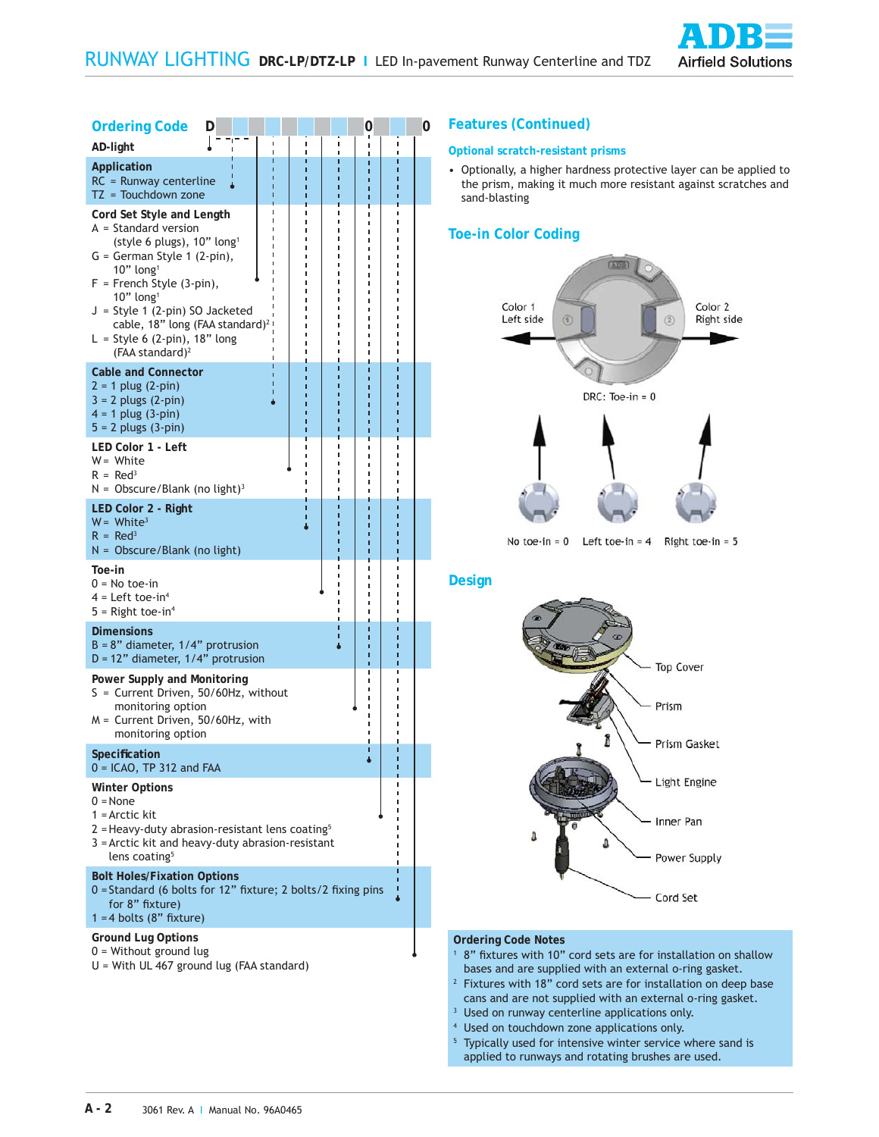

| <b>Ordering Code</b><br>D                                                                                                                                                                                                                                                                                                                                                                              | 0                                                                                      | 0 | F |
|--------------------------------------------------------------------------------------------------------------------------------------------------------------------------------------------------------------------------------------------------------------------------------------------------------------------------------------------------------------------------------------------------------|----------------------------------------------------------------------------------------|---|---|
| ı<br>AD-light<br>ı<br>ı<br>I<br>ı                                                                                                                                                                                                                                                                                                                                                                      | ı<br>ı                                                                                 | ı | 0 |
| Application<br>$RC = Runway$ centerline<br>$TZ = Touchdown zone$                                                                                                                                                                                                                                                                                                                                       | п<br>п<br>п<br>п<br>п                                                                  |   |   |
| ı<br>Cord Set Style and Length<br>I<br>$A = Standard version$<br>ı<br>(style 6 plugs), $10"$ long <sup>1</sup><br>ı<br>$G = German Style 1 (2-pin),$<br>$10"$ long <sup>1</sup><br>$F =$ French Style (3-pin),<br>ı<br>$10"$ long <sup>1</sup><br>$J =$ Style 1 (2-pin) SO Jacketed<br>cable, 18" long (FAA standard) <sup>2</sup> !<br>L = Style 6 (2-pin), $18"$ long<br>(FAA standard) <sup>2</sup> | ı<br>ı<br>п<br>п<br>п<br>ı<br>ı<br>ı<br>I<br>п<br>п<br>п<br>ı<br>ı<br>ı<br>ı<br>п<br>п |   | в |
| <b>Cable and Connector</b><br>$2 = 1$ plug $(2-pin)$<br>$3 = 2$ plugs $(2-pin)$<br>$4 = 1$ plug $(3-pin)$<br>$5 = 2$ plugs $(3-pin)$                                                                                                                                                                                                                                                                   |                                                                                        |   |   |
| LED Color 1 - Left<br>ı<br>п<br>$W = White$<br>$R = Red3$<br>$N = Obscure/Blank$ (no light) <sup>3</sup>                                                                                                                                                                                                                                                                                               |                                                                                        | ı |   |
| LED Color 2 - Right<br>$W = White3$<br>$R = Red3$<br>$N = Obscure/Blank$ (no light)                                                                                                                                                                                                                                                                                                                    |                                                                                        |   |   |
| Toe-in<br>$0 = No$ toe-in<br>$4$ = Left toe-in <sup>4</sup><br>$5$ = Right toe-in <sup>4</sup>                                                                                                                                                                                                                                                                                                         | ı<br>т                                                                                 |   | D |
| <b>Dimensions</b><br>$B = 8"$ diameter, $1/4"$ protrusion<br>$D = 12"$ diameter, $1/4"$ protrusion                                                                                                                                                                                                                                                                                                     |                                                                                        |   |   |
| Power Supply and Monitoring<br>$S =$ Current Driven, 50/60Hz, without<br>monitoring option<br>M = Current Driven, 50/60Hz, with<br>monitoring option                                                                                                                                                                                                                                                   |                                                                                        |   |   |
| Specification<br>$0 = ICAO$ , TP 312 and FAA                                                                                                                                                                                                                                                                                                                                                           |                                                                                        |   |   |
| <b>Winter Options</b><br>$0 = None$<br>1 = Arctic kit<br>$2$ = Heavy-duty abrasion-resistant lens coating <sup>5</sup><br>3 = Arctic kit and heavy-duty abrasion-resistant<br>lens coating <sup>5</sup>                                                                                                                                                                                                |                                                                                        |   |   |
| <b>Bolt Holes/Fixation Options</b><br>0 = Standard (6 bolts for 12" fixture; 2 bolts/2 fixing pins<br>for 8" fixture)<br>$1 = 4$ bolts (8" fixture)                                                                                                                                                                                                                                                    |                                                                                        |   |   |
| <b>Ground Lug Options</b><br>$0 =$ Without ground lug<br>$U = With UL 467 ground lug (FAA standard)$                                                                                                                                                                                                                                                                                                   |                                                                                        |   |   |

# **Features (Continued)**

# **Optional scratch-resistant prisms**

• Optionally, a higher hardness protective layer can be applied to the prism, making it much more resistant against scratches and sand-blasting

# **Toe-in Color Coding**



No toe-in =  $0$  Left toe-in = 4 Right toe-in  $= 5$ 

### **Design**



### **Ordering Code Notes**

- 8" fixtures with 10" cord sets are for installation on shallow bases and are supplied with an external o-ring gasket.
- 2 Fixtures with 18" cord sets are for installation on deep base cans and are not supplied with an external o-ring gasket.
- 3 Used on runway centerline applications only.
- 4 Used on touchdown zone applications only.
- <sup>5</sup> Typically used for intensive winter service where sand is applied to runways and rotating brushes are used.